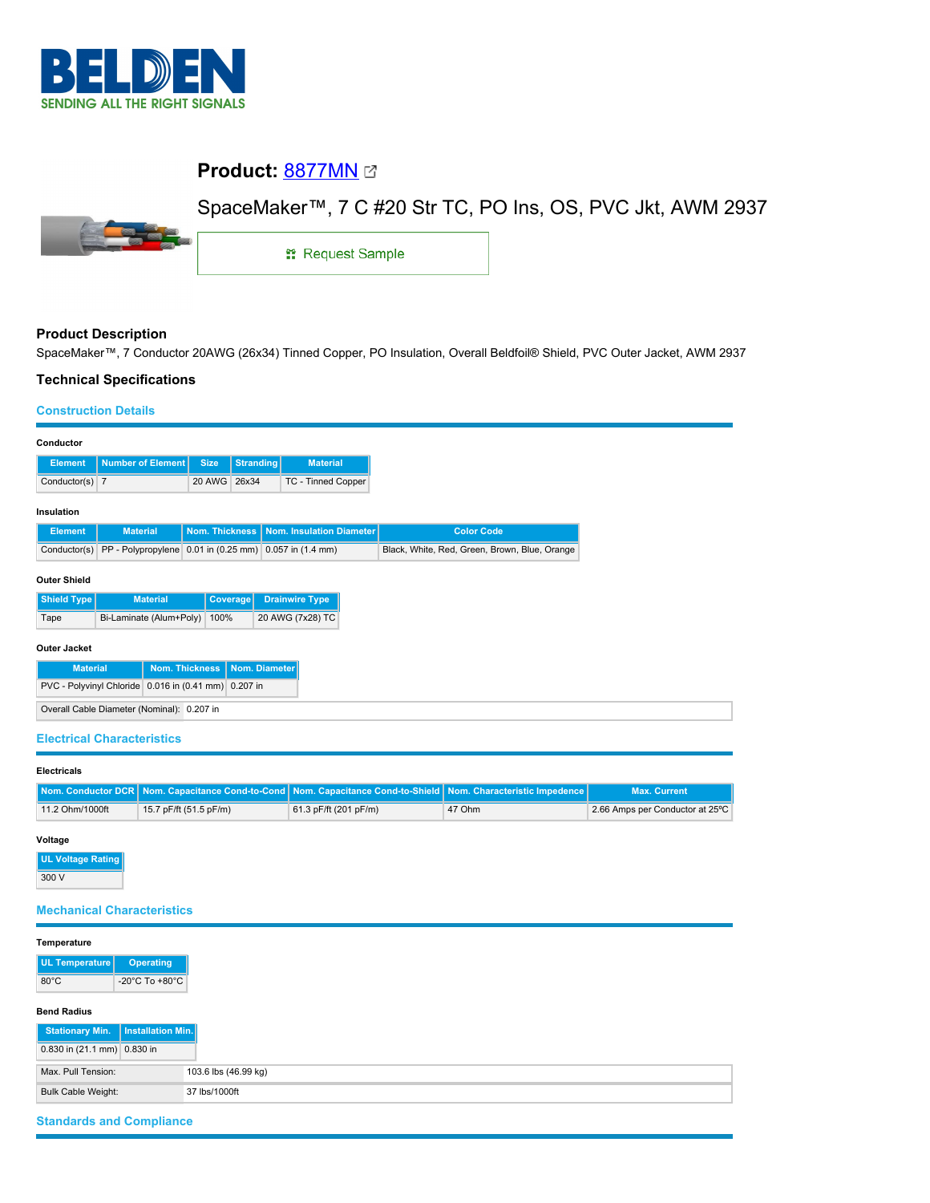

# **Product:** [8877MN](https://catalog.belden.com/index.cfm?event=pd&p=PF_8877MN&tab=downloads)

# SpaceMaker™, 7 C #20 Str TC, PO Ins, OS, PVC Jkt, AWM 2937



**: Request Sample** 

## **Product Description**

SpaceMaker™, 7 Conductor 20AWG (26x34) Tinned Copper, PO Insulation, Overall Beldfoil® Shield, PVC Outer Jacket, AWM 2937

### **Technical Specifications**

#### **Construction Details**

| Conductor                                            |                                                                     |                |                  |                           |                                               |  |  |
|------------------------------------------------------|---------------------------------------------------------------------|----------------|------------------|---------------------------|-----------------------------------------------|--|--|
| <b>Element</b>                                       | <b>Number of Element</b>                                            | <b>Size</b>    | <b>Stranding</b> | <b>Material</b>           |                                               |  |  |
| Conductor(s) $\vert$ 7                               |                                                                     | 20 AWG         | 26x34            | <b>TC - Tinned Copper</b> |                                               |  |  |
| Insulation                                           |                                                                     |                |                  |                           |                                               |  |  |
| <b>Element</b>                                       | <b>Material</b>                                                     | Nom. Thickness |                  | Nom. Insulation Diameter  | <b>Color Code</b>                             |  |  |
|                                                      | Conductor(s) PP - Polypropylene 0.01 in (0.25 mm) 0.057 in (1.4 mm) |                |                  |                           | Black, White, Red, Green, Brown, Blue, Orange |  |  |
| <b>Outer Shield</b>                                  |                                                                     |                |                  |                           |                                               |  |  |
| <b>Shield Type</b>                                   | <b>Material</b>                                                     | Coverage       |                  | <b>Drainwire Type</b>     |                                               |  |  |
| Tape                                                 | Bi-Laminate (Alum+Poly)                                             | 100%           |                  | 20 AWG (7x28) TC          |                                               |  |  |
| Outer Jacket                                         |                                                                     |                |                  |                           |                                               |  |  |
|                                                      | <b>Nom. Thickness</b><br>Nom. Diameter<br><b>Material</b>           |                |                  |                           |                                               |  |  |
| PVC - Polyvinyl Chloride 0.016 in (0.41 mm) 0.207 in |                                                                     |                |                  |                           |                                               |  |  |
| Overall Cable Diameter (Nominal): 0.207 in           |                                                                     |                |                  |                           |                                               |  |  |

### **Electrical Characteristics**

| <b>Electricals</b> |                        |                                                                                                                |        |                                 |  |  |
|--------------------|------------------------|----------------------------------------------------------------------------------------------------------------|--------|---------------------------------|--|--|
|                    |                        | Nom. Conductor DCR Nom. Capacitance Cond-to-Cond Nom. Capacitance Cond-to-Shield Nom. Characteristic Impedence |        | <b>Max. Current</b>             |  |  |
| 11.2 Ohm/1000ft    | 15.7 pF/ft (51.5 pF/m) | 61.3 pF/ft (201 pF/m)                                                                                          | 47 Ohm | 2.66 Amps per Conductor at 25°C |  |  |

#### **Voltage**

**UL Voltage Rating** 300 V

### **Mechanical Characteristics**

| Temperature                           |                                    |                      |
|---------------------------------------|------------------------------------|----------------------|
| UL Temperature<br>$80^{\circ}$ C      | <b>Operating</b><br>-20°C To +80°C |                      |
| <b>Bend Radius</b>                    |                                    |                      |
| <b>Stationary Min.</b>                | Installation Min.                  |                      |
| 0.830 in $(21.1 \text{ mm})$ 0.830 in |                                    |                      |
| Max. Pull Tension:                    |                                    | 103.6 lbs (46.99 kg) |
| <b>Bulk Cable Weight:</b>             |                                    | 37 lbs/1000ft        |

# **Standards and Compliance**